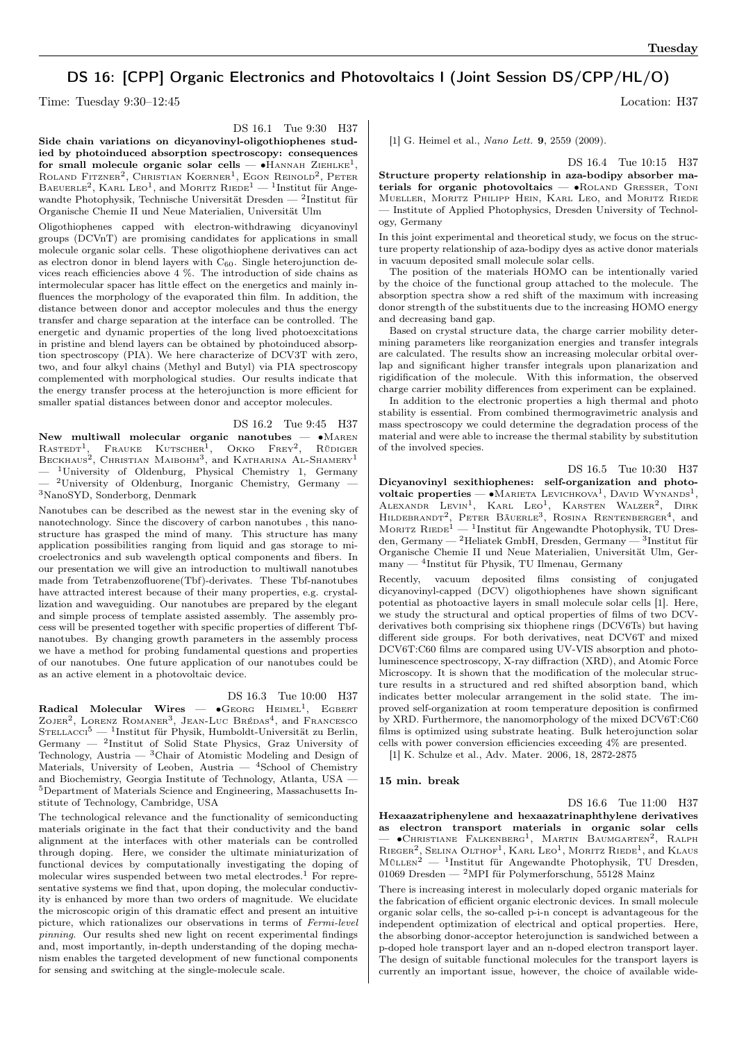# DS 16: [CPP] Organic Electronics and Photovoltaics I (Joint Session DS/CPP/HL/O)

Time: Tuesday 9:30–12:45 Location: H37

DS 16.1 Tue 9:30 H37

Side chain variations on dicyanovinyl-oligothiophenes studied by photoinduced absorption spectroscopy: consequences for small molecule organic solar cells —  $\bullet$ HANNAH ZIEHLKE<sup>1</sup>, ROLAND FITZNER<sup>2</sup>, CHRISTIAN KOERNER<sup>1</sup>, EGON REINOLD<sup>2</sup>, PETER BAEUERLE<sup>2</sup>, KARL LEO<sup>1</sup>, and MORITZ RIEDE<sup>1</sup> — <sup>1</sup>Institut für Angewandte Photophysik, Technische Universität Dresden — <sup>2</sup> Institut für Organische Chemie II und Neue Materialien, Universität Ulm

Oligothiophenes capped with electron-withdrawing dicyanovinyl groups (DCVnT) are promising candidates for applications in small molecule organic solar cells. These oligothiophene derivatives can act as electron donor in blend layers with  $C_{60}$ . Single heterojunction devices reach efficiencies above 4 %. The introduction of side chains as intermolecular spacer has little effect on the energetics and mainly influences the morphology of the evaporated thin film. In addition, the distance between donor and acceptor molecules and thus the energy transfer and charge separation at the interface can be controlled. The energetic and dynamic properties of the long lived photoexcitations in pristine and blend layers can be obtained by photoinduced absorption spectroscopy (PIA). We here characterize of DCV3T with zero, two, and four alkyl chains (Methyl and Butyl) via PIA spectroscopy complemented with morphological studies. Our results indicate that the energy transfer process at the heterojunction is more efficient for smaller spatial distances between donor and acceptor molecules.

DS 16.2 Tue 9:45 H37

New multiwall molecular organic nanotubes — ∙Maren  $\text{Rast}^{-1}$ , Frauke Kutscher<sup>1</sup>, Okko Frey<sup>2</sup>, Rüdiger BECKHAUS<sup>2</sup>, CHRISTIAN MAIBOHM<sup>3</sup>, and KATHARINA AL-SHAMERY<sup>1</sup>  $-$  <sup>1</sup>University of Oldenburg, Physical Chemistry 1, Germany  $-$  <sup>2</sup>University of Oldenburg, Inorganic Chemistry, Germany  $-$ <sup>3</sup>NanoSYD, Sonderborg, Denmark

Nanotubes can be described as the newest star in the evening sky of nanotechnology. Since the discovery of carbon nanotubes , this nanostructure has grasped the mind of many. This structure has many application possibilities ranging from liquid and gas storage to microelectronics and sub wavelength optical components and fibers. In our presentation we will give an introduction to multiwall nanotubes made from Tetrabenzofluorene(Tbf)-derivates. These Tbf-nanotubes have attracted interest because of their many properties, e.g. crystallization and waveguiding. Our nanotubes are prepared by the elegant and simple process of template assisted assembly. The assembly process will be presented together with specific properties of different Tbfnanotubes. By changing growth parameters in the assembly process we have a method for probing fundamental questions and properties of our nanotubes. One future application of our nanotubes could be as an active element in a photovoltaic device.

DS 16.3 Tue 10:00 H37

 $\textbf{Radical}\quad \textbf{Molecular}\quad \textbf{Wires}\quad=\quad \bullet \textbf{GEORG}\quad \text{HEIMEL}^1,\quad \textbf{EGBERT}$ ZOJER<sup>2</sup>, LORENZ ROMANER<sup>3</sup>, JEAN-LUC BRÉDAS<sup>4</sup>, and FRANCESCO STELLACCI<sup>5</sup> — <sup>1</sup>Institut für Physik, Humboldt-Universität zu Berlin, Germany — <sup>2</sup> Institut of Solid State Physics, Graz University of Technology, Austria —  ${}^{3}$ Chair of Atomistic Modeling and Design of Materials, University of Leoben, Austria  $-$  4School of Chemistry and Biochemistry, Georgia Institute of Technology, Atlanta, USA — <sup>5</sup>Department of Materials Science and Engineering, Massachusetts Institute of Technology, Cambridge, USA

The technological relevance and the functionality of semiconducting materials originate in the fact that their conductivity and the band alignment at the interfaces with other materials can be controlled through doping. Here, we consider the ultimate miniaturization of functional devices by computationally investigating the doping of molecular wires suspended between two metal electrodes.<sup>1</sup> For representative systems we find that, upon doping, the molecular conductivity is enhanced by more than two orders of magnitude. We elucidate the microscopic origin of this dramatic effect and present an intuitive picture, which rationalizes our observations in terms of Fermi-level pinning. Our results shed new light on recent experimental findings and, most importantly, in-depth understanding of the doping mechanism enables the targeted development of new functional components for sensing and switching at the single-molecule scale.

[1] G. Heimel et al., Nano Lett. 9, 2559 (2009).

DS 16.4 Tue 10:15 H37

Structure property relationship in aza-bodipy absorber materials for organic photovoltaics — •ROLAND GRESSER, TONI Mueller, Moritz Philipp Hein, Karl Leo, and Moritz Riede — Institute of Applied Photophysics, Dresden University of Technology, Germany

In this joint experimental and theoretical study, we focus on the structure property relationship of aza-bodipy dyes as active donor materials in vacuum deposited small molecule solar cells.

The position of the materials HOMO can be intentionally varied by the choice of the functional group attached to the molecule. The absorption spectra show a red shift of the maximum with increasing donor strength of the substituents due to the increasing HOMO energy and decreasing band gap.

Based on crystal structure data, the charge carrier mobility determining parameters like reorganization energies and transfer integrals are calculated. The results show an increasing molecular orbital overlap and significant higher transfer integrals upon planarization and rigidification of the molecule. With this information, the observed charge carrier mobility differences from experiment can be explained.

In addition to the electronic properties a high thermal and photo stability is essential. From combined thermogravimetric analysis and mass spectroscopy we could determine the degradation process of the material and were able to increase the thermal stability by substitution of the involved species.

DS 16.5 Tue 10:30 H37

Dicyanovinyl sexithiophenes: self-organization and photovoltaic properties — •Макиета Levichkova<sup>1</sup>, David Wynands<sup>1</sup>, ALEXANDR LEVIN<sup>1</sup>, KARL LEO<sup>1</sup>, KARSTEN WALZER<sup>2</sup>, DIRK HILDEBRANDT<sup>2</sup>, PETER BÄUERLE<sup>3</sup>, ROSINA RENTENBERGER<sup>4</sup>, and MORITZ  $R$ IEDE<sup>1</sup> — <sup>1</sup>Institut für Angewandte Photophysik, TU Dresden, Germany — <sup>2</sup>Heliatek GmbH, Dresden, Germany — <sup>3</sup> Institut für Organische Chemie II und Neue Materialien, Universität Ulm, Germany — <sup>4</sup> Institut für Physik, TU Ilmenau, Germany

Recently, vacuum deposited films consisting of conjugated dicyanovinyl-capped (DCV) oligothiophenes have shown significant potential as photoactive layers in small molecule solar cells [1]. Here, we study the structural and optical properties of films of two DCVderivatives both comprising six thiophene rings (DCV6Ts) but having different side groups. For both derivatives, neat DCV6T and mixed DCV6T:C60 films are compared using UV-VIS absorption and photoluminescence spectroscopy, X-ray diffraction (XRD), and Atomic Force Microscopy. It is shown that the modification of the molecular structure results in a structured and red shifted absorption band, which indicates better molecular arrangement in the solid state. The improved self-organization at room temperature deposition is confirmed by XRD. Furthermore, the nanomorphology of the mixed DCV6T:C60 films is optimized using substrate heating. Bulk heterojunction solar cells with power conversion efficiencies exceeding 4% are presented.

[1] K. Schulze et al., Adv. Mater. 2006, 18, 2872-2875

### 15 min. break

DS 16.6 Tue 11:00 H37 Hexaazatriphenylene and hexaazatrinaphthylene derivatives as electron transport materials in organic solar cells — ∙Christiane Falkenberg<sup>1</sup> , Martin Baumgarten<sup>2</sup> , Ralph RIEGER<sup>2</sup>, SELINA OLTHOF<sup>1</sup>, KARL LEO<sup>1</sup>, MORITZ RIEDE<sup>1</sup>, and KLAUS  $M\ddot{\omega}_{\text{LEN}}^2$  — <sup>1</sup>Institut für Angewandte Photophysik, TU Dresden, 01069 Dresden — <sup>2</sup>MPI für Polymerforschung, 55128 Mainz

There is increasing interest in molecularly doped organic materials for the fabrication of efficient organic electronic devices. In small molecule organic solar cells, the so-called p-i-n concept is advantageous for the independent optimization of electrical and optical properties. Here, the absorbing donor-acceptor heterojunction is sandwiched between a p-doped hole transport layer and an n-doped electron transport layer. The design of suitable functional molecules for the transport layers is currently an important issue, however, the choice of available wide-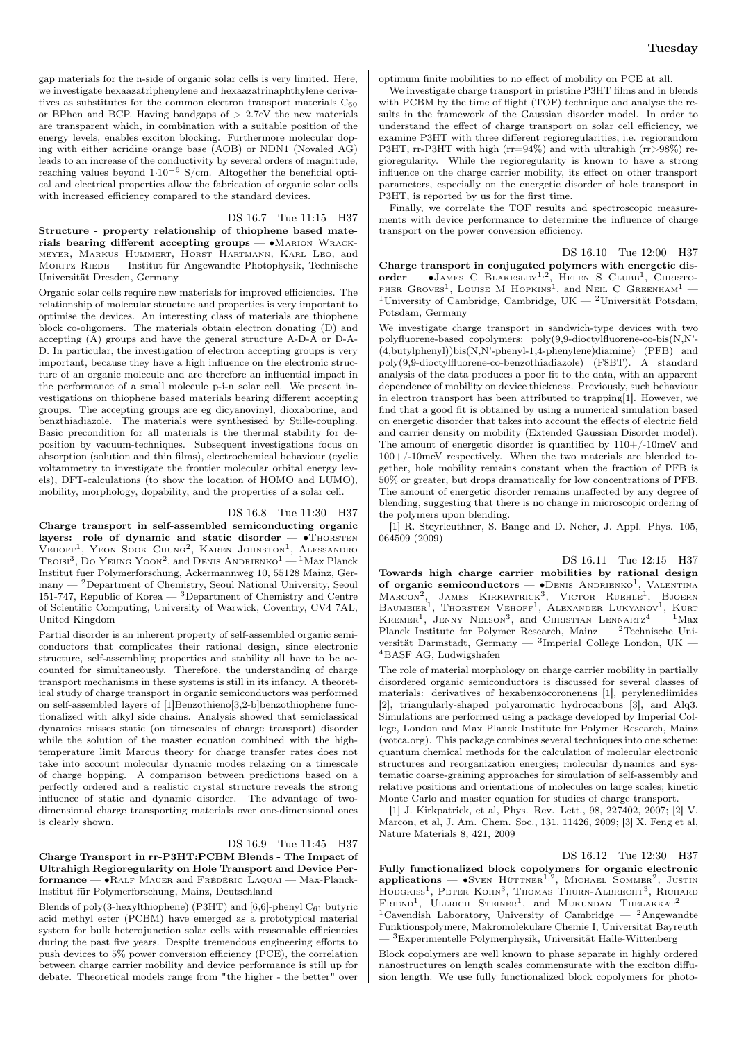gap materials for the n-side of organic solar cells is very limited. Here, we investigate hexaazatriphenylene and hexaazatrinaphthylene derivatives as substitutes for the common electron transport materials  $\mathrm{C}_{60}$ or BPhen and BCP. Having bandgaps of  $> 2.7$ eV the new materials are transparent which, in combination with a suitable position of the energy levels, enables exciton blocking. Furthermore molecular doping with either acridine orange base (AOB) or NDN1 (Novaled AG) leads to an increase of the conductivity by several orders of magnitude, reaching values beyond  $1·10<sup>-6</sup>$  S/cm. Altogether the beneficial optical and electrical properties allow the fabrication of organic solar cells with increased efficiency compared to the standard devices.

## DS 16.7 Tue 11:15 H37

Structure - property relationship of thiophene based materials bearing different accepting groups — •MARION WRACKmeyer, Markus Hummert, Horst Hartmann, Karl Leo, and MORITZ RIEDE — Institut für Angewandte Photophysik, Technische Universität Dresden, Germany

Organic solar cells require new materials for improved efficiencies. The relationship of molecular structure and properties is very important to optimise the devices. An interesting class of materials are thiophene block co-oligomers. The materials obtain electron donating (D) and accepting (A) groups and have the general structure A-D-A or D-A-D. In particular, the investigation of electron accepting groups is very important, because they have a high influence on the electronic structure of an organic molecule and are therefore an influential impact in the performance of a small molecule p-i-n solar cell. We present investigations on thiophene based materials bearing different accepting groups. The accepting groups are eg dicyanovinyl, dioxaborine, and benzthiadiazole. The materials were synthesised by Stille-coupling. Basic precondition for all materials is the thermal stability for deposition by vacuum-techniques. Subsequent investigations focus on absorption (solution and thin films), electrochemical behaviour (cyclic voltammetry to investigate the frontier molecular orbital energy levels), DFT-calculations (to show the location of HOMO and LUMO), mobility, morphology, dopability, and the properties of a solar cell.

### DS 16.8 Tue 11:30 H37

Charge transport in self-assembled semiconducting organic layers: role of dynamic and static disorder —  $\bullet$ Thorsten VEHOFF<sup>1</sup>, YEON SOOK CHUNG<sup>2</sup>, KAREN JOHNSTON<sup>1</sup>, ALESSANDRO<br>Troisi<sup>3</sup>, Do YEUNG YOON<sup>2</sup>, and DENIS ANDRIENKO<sup>1</sup> — <sup>1</sup>Max Planck Institut fuer Polymerforschung, Ackermannweg 10, 55128 Mainz, Ger $m$ any  $-$  <sup>2</sup>Department of Chemistry, Seoul National University, Seoul 151-747, Republic of Korea — <sup>3</sup>Department of Chemistry and Centre of Scientific Computing, University of Warwick, Coventry, CV4 7AL, United Kingdom

Partial disorder is an inherent property of self-assembled organic semiconductors that complicates their rational design, since electronic structure, self-assembling properties and stability all have to be accounted for simultaneously. Therefore, the understanding of charge transport mechanisms in these systems is still in its infancy. A theoretical study of charge transport in organic semiconductors was performed on self-assembled layers of [1]Benzothieno[3,2-b]benzothiophene functionalized with alkyl side chains. Analysis showed that semiclassical dynamics misses static (on timescales of charge transport) disorder while the solution of the master equation combined with the hightemperature limit Marcus theory for charge transfer rates does not take into account molecular dynamic modes relaxing on a timescale of charge hopping. A comparison between predictions based on a perfectly ordered and a realistic crystal structure reveals the strong influence of static and dynamic disorder. The advantage of twodimensional charge transporting materials over one-dimensional ones is clearly shown.

### DS 16.9 Tue 11:45 H37

Charge Transport in rr-P3HT:PCBM Blends - The Impact of Ultrahigh Regioregularity on Hole Transport and Device Performance — ∙Ralf Mauer and Frédéric Laquai — Max-Planck-Institut für Polymerforschung, Mainz, Deutschland

Blends of poly(3-hexylthiophene) (P3HT) and [6,6]-phenyl  $\mathrm{C}_{61}$  butyric acid methyl ester (PCBM) have emerged as a prototypical material system for bulk heterojunction solar cells with reasonable efficiencies during the past five years. Despite tremendous engineering efforts to push devices to 5% power conversion efficiency (PCE), the correlation between charge carrier mobility and device performance is still up for debate. Theoretical models range from "the higher - the better" over optimum finite mobilities to no effect of mobility on PCE at all.

We investigate charge transport in pristine P3HT films and in blends with PCBM by the time of flight (TOF) technique and analyse the results in the framework of the Gaussian disorder model. In order to understand the effect of charge transport on solar cell efficiency, we examine P3HT with three different regioregularities, i.e. regiorandom P3HT, rr-P3HT with high ( $rr=94\%$ ) and with ultrahigh ( $rr>98\%$ ) regioregularity. While the regioregularity is known to have a strong influence on the charge carrier mobility, its effect on other transport parameters, especially on the energetic disorder of hole transport in P3HT, is reported by us for the first time.

Finally, we correlate the TOF results and spectroscopic measurements with device performance to determine the influence of charge transport on the power conversion efficiency.

DS 16.10 Tue 12:00 H37 Charge transport in conjugated polymers with energetic dis $order$   $\bullet$  JAMES C BLAKESLEY<sup>1,2</sup>, HELEN S CLUBB<sup>1</sup>, CHRISTO-PHER GROVES<sup>1</sup>, LOUISE M HOPKINS<sup>1</sup>, and NEIL C GREENHAM<sup>1</sup> -<sup>1</sup>University of Cambridge, Cambridge, UK  $-$  <sup>2</sup>Universität Potsdam, Potsdam, Germany

We investigate charge transport in sandwich-type devices with two polyfluorene-based copolymers: poly(9,9-dioctylfluorene-co-bis(N,N'-  $(4, but v1$ benyl))bis $(N, N'-$ phenyl-1,4-phenylene)diamine) (PFB) and poly(9,9-dioctylfluorene-co-benzothiadiazole) (F8BT). A standard analysis of the data produces a poor fit to the data, with an apparent dependence of mobility on device thickness. Previously, such behaviour in electron transport has been attributed to trapping[1]. However, we find that a good fit is obtained by using a numerical simulation based on energetic disorder that takes into account the effects of electric field and carrier density on mobility (Extended Gaussian Disorder model). The amount of energetic disorder is quantified by  $110+/-10$ meV and 100+/-10meV respectively. When the two materials are blended together, hole mobility remains constant when the fraction of PFB is 50% or greater, but drops dramatically for low concentrations of PFB. The amount of energetic disorder remains unaffected by any degree of blending, suggesting that there is no change in microscopic ordering of the polymers upon blending.

[1] R. Steyrleuthner, S. Bange and D. Neher, J. Appl. Phys. 105, 064509 (2009)

DS 16.11 Tue 12:15 H37

Towards high charge carrier mobilities by rational design of organic semiconductors  $\bullet$ DENIS ANDRIENKO<sup>1</sup>, VALENTINA Marcon<sup>2</sup>, James Kirkpatrick<sup>3</sup>, Victor Ruehle<sup>1</sup>, Bjoern<br>Baumeier<sup>1</sup>, Thorsten Vehoff<sup>1</sup>, Alexander Lukyanov<sup>1</sup>, Kurt<br>Kremer<sup>1</sup>, Jenny Nelson<sup>3</sup>, and Christian Lennartz<sup>4</sup> — <sup>1</sup>Max Planck Institute for Polymer Research, Mainz  $-$  <sup>2</sup>Technische Universität Darmstadt, Germany —  ${}^{3}$ Imperial College London, UK — <sup>4</sup>BASF AG, Ludwigshafen

The role of material morphology on charge carrier mobility in partially disordered organic semiconductors is discussed for several classes of materials: derivatives of hexabenzocoronenens [1], perylenediimides [2], triangularly-shaped polyaromatic hydrocarbons [3], and Alq3. Simulations are performed using a package developed by Imperial College, London and Max Planck Institute for Polymer Research, Mainz (votca.org). This package combines several techniques into one scheme: quantum chemical methods for the calculation of molecular electronic structures and reorganization energies; molecular dynamics and systematic coarse-graining approaches for simulation of self-assembly and relative positions and orientations of molecules on large scales; kinetic Monte Carlo and master equation for studies of charge transport.

[1] J. Kirkpatrick, et al, Phys. Rev. Lett., 98, 227402, 2007; [2] V. Marcon, et al, J. Am. Chem. Soc., 131, 11426, 2009; [3] X. Feng et al, Nature Materials 8, 421, 2009

DS 16.12 Tue 12:30 H37 Fully functionalized block copolymers for organic electronic  $\text{applications} - \bullet \text{Sven}$  HÜTTNER<sup>1,2</sup>, MICHAEL SOMMER<sup>2</sup>, JUSTIN HODGKISS<sup>1</sup>, PETER KOHN<sup>3</sup>, THOMAS THURN-ALBRECHT<sup>3</sup>, RICHARD FRIEND<sup>1</sup>, ULLRICH STEINER<sup>1</sup>, and MUKUNDAN THELAKKAT<sup>2</sup> -<sup>1</sup>Cavendish Laboratory, University of Cambridge — <sup>2</sup>Angewandte Funktionspolymere, Makromolekulare Chemie I, Universität Bayreuth — <sup>3</sup>Experimentelle Polymerphysik, Universität Halle-Wittenberg

Block copolymers are well known to phase separate in highly ordered nanostructures on length scales commensurate with the exciton diffusion length. We use fully functionalized block copolymers for photo-